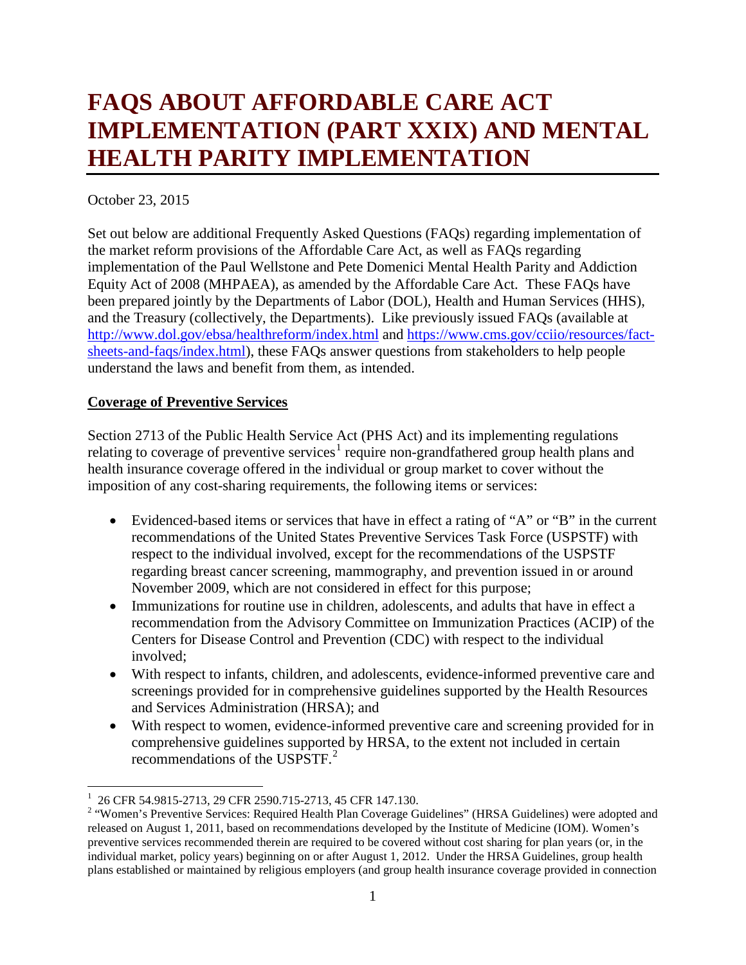# **FAQS ABOUT AFFORDABLE CARE ACT IMPLEMENTATION (PART XXIX) AND MENTAL HEALTH PARITY IMPLEMENTATION**

# October 23, 2015

Set out below are additional Frequently Asked Questions (FAQs) regarding implementation of the market reform provisions of the Affordable Care Act, as well as FAQs regarding implementation of the Paul Wellstone and Pete Domenici Mental Health Parity and Addiction Equity Act of 2008 (MHPAEA), as amended by the Affordable Care Act. These FAQs have been prepared jointly by the Departments of Labor (DOL), Health and Human Services (HHS), and the Treasury (collectively, the Departments). Like previously issued FAQs (available at <http://www.dol.gov/ebsa/healthreform/index.html> and [https://www.cms.gov/cciio/resources/fact](https://www.cms.gov/cciio/resources/fact-sheets-and-faqs/index.html)[sheets-and-faqs/index.html\)](https://www.cms.gov/cciio/resources/fact-sheets-and-faqs/index.html), these FAQs answer questions from stakeholders to help people understand the laws and benefit from them, as intended.

# **Coverage of Preventive Services**

Section 2713 of the Public Health Service Act (PHS Act) and its implementing regulations relating to coverage of preventive services<sup>[1](#page-0-0)</sup> require non-grandfathered group health plans and health insurance coverage offered in the individual or group market to cover without the imposition of any cost-sharing requirements, the following items or services:

- Evidenced-based items or services that have in effect a rating of "A" or "B" in the current recommendations of the United States Preventive Services Task Force (USPSTF) with respect to the individual involved, except for the recommendations of the USPSTF regarding breast cancer screening, mammography, and prevention issued in or around November 2009, which are not considered in effect for this purpose;
- Immunizations for routine use in children, adolescents, and adults that have in effect a recommendation from the Advisory Committee on Immunization Practices (ACIP) of the Centers for Disease Control and Prevention (CDC) with respect to the individual involved;
- With respect to infants, children, and adolescents, evidence-informed preventive care and screenings provided for in comprehensive guidelines supported by the Health Resources and Services Administration (HRSA); and
- With respect to women, evidence-informed preventive care and screening provided for in comprehensive guidelines supported by HRSA, to the extent not included in certain recommendations of the USPSTF.[2](#page-0-1)

<sup>|&</sup>lt;br>|<br>|

<span id="page-0-1"></span><span id="page-0-0"></span><sup>&</sup>lt;sup>1</sup> 26 CFR 54.9815-2713, 29 CFR 2590.715-2713, 45 CFR 147.130.<br><sup>2</sup> "Women's Preventive Services: Required Health Plan Coverage Guidelines" (HRSA Guidelines) were adopted and released on August 1, 2011, based on recommendations developed by the Institute of Medicine (IOM). Women's preventive services recommended therein are required to be covered without cost sharing for plan years (or, in the individual market, policy years) beginning on or after August 1, 2012. Under the HRSA Guidelines, group health plans established or maintained by religious employers (and group health insurance coverage provided in connection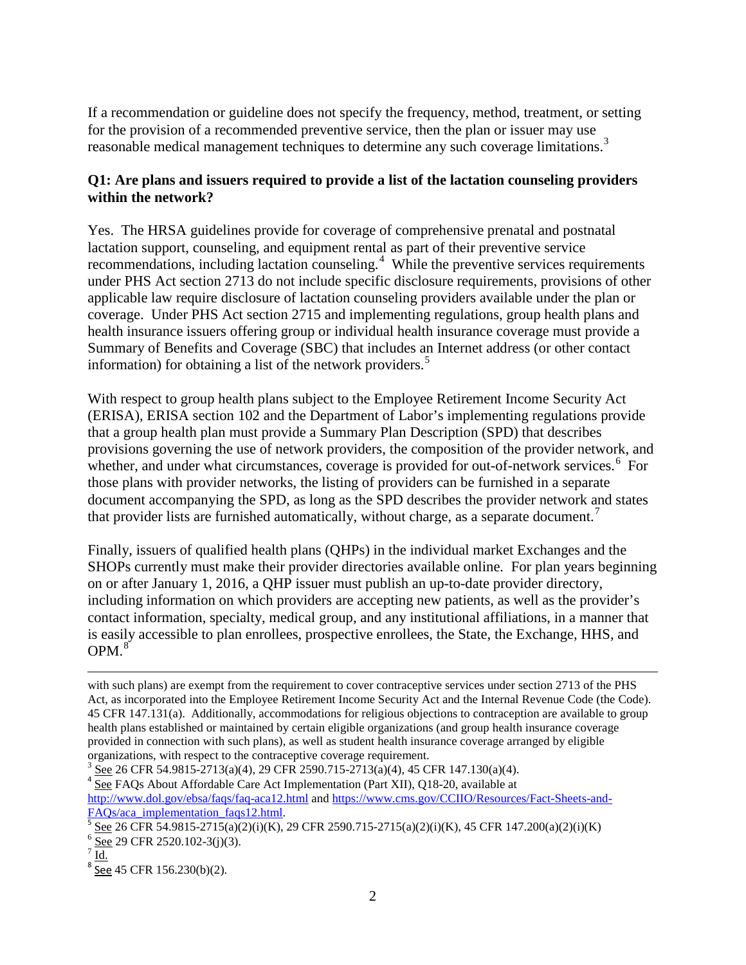If a recommendation or guideline does not specify the frequency, method, treatment, or setting for the provision of a recommended preventive service, then the plan or issuer may use reasonable medical management techniques to determine any such coverage limitations.<sup>[3](#page-1-0)</sup>

# **Q1: Are plans and issuers required to provide a list of the lactation counseling providers within the network?**

Yes. The HRSA guidelines provide for coverage of comprehensive prenatal and postnatal lactation support, counseling, and equipment rental as part of their preventive service recommendations, including lactation counseling.<sup>[4](#page-1-1)</sup> While the preventive services requirements under PHS Act section 2713 do not include specific disclosure requirements, provisions of other applicable law require disclosure of lactation counseling providers available under the plan or coverage. Under PHS Act section 2715 and implementing regulations, group health plans and health insurance issuers offering group or individual health insurance coverage must provide a Summary of Benefits and Coverage (SBC) that includes an Internet address (or other contact information) for obtaining a list of the network providers. [5](#page-1-2)

With respect to group health plans subject to the Employee Retirement Income Security Act (ERISA), ERISA section 102 and the Department of Labor's implementing regulations provide that a group health plan must provide a Summary Plan Description (SPD) that describes provisions governing the use of network providers, the composition of the provider network, and whether, and under what circumstances, coverage is provided for out-of-network services.<sup>[6](#page-1-3)</sup> For those plans with provider networks, the listing of providers can be furnished in a separate document accompanying the SPD, as long as the SPD describes the provider network and states that provider lists are furnished automatically, without charge, as a separate document.<sup>[7](#page-1-4)</sup>

Finally, issuers of qualified health plans (QHPs) in the individual market Exchanges and the SHOPs currently must make their provider directories available online. For plan years beginning on or after January 1, 2016, a QHP issuer must publish an up-to-date provider directory, including information on which providers are accepting new patients, as well as the provider's contact information, specialty, medical group, and any institutional affiliations, in a manner that is easily accessible to plan enrollees, prospective enrollees, the State, the Exchange, HHS, and  $OPM.<sup>8</sup>$  $OPM.<sup>8</sup>$  $OPM.<sup>8</sup>$ 

<http://www.dol.gov/ebsa/faqs/faq-aca12.html> and https://www.cms.gov/CCIIO/Resources/Fact-Sheets-and-FAOs/aca implementation faqs12.html.

 $\overline{\phantom{a}}$ 

with such plans) are exempt from the requirement to cover contraceptive services under section 2713 of the PHS Act, as incorporated into the Employee Retirement Income Security Act and the Internal Revenue Code (the Code). 45 CFR 147.131(a). Additionally, accommodations for religious objections to contraception are available to group health plans established or maintained by certain eligible organizations (and group health insurance coverage provided in connection with such plans), as well as student health insurance coverage arranged by eligible organizations, with respect to the contraceptive coverage requirement.

<span id="page-1-1"></span><span id="page-1-0"></span> $3 \text{ See } 26 \text{ CFR } 54.9815-2713(a)(4), 29 \text{ CFR } 2590.715-2713(a)(4), 45 \text{ CFR } 147.130(a)(4).$ <br> $4 \text{ See } \text{FAQs}$  About Affordable Care Act Implementation (Part XII), Q18-20, available at

<span id="page-1-3"></span><span id="page-1-2"></span> $\frac{5}{10}$  See 26 CFR 54.9815-2715(a)(2)(i)(K), 29 CFR 2590.715-2715(a)(2)(i)(K), 45 CFR 147.200(a)(2)(i)(K)  $\frac{6}{10}$  See 29 CFR 2520.102-3(j)(3).  $\frac{7}{10}$ 

<span id="page-1-5"></span><span id="page-1-4"></span>

 $8$  See 45 CFR 156.230(b)(2).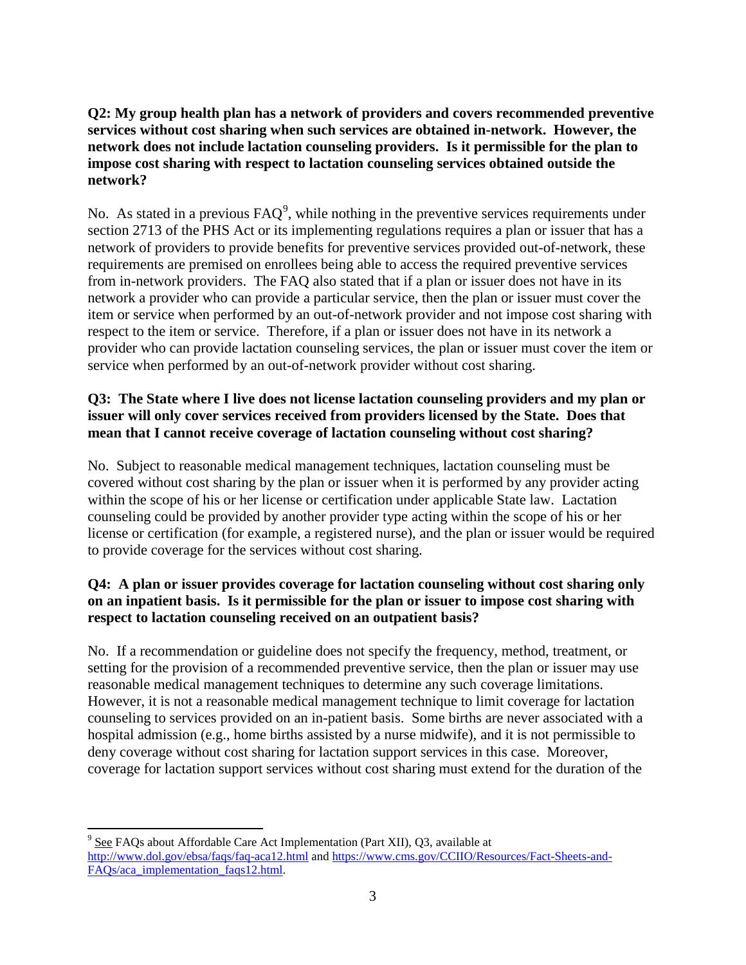# **Q2: My group health plan has a network of providers and covers recommended preventive services without cost sharing when such services are obtained in-network. However, the network does not include lactation counseling providers. Is it permissible for the plan to impose cost sharing with respect to lactation counseling services obtained outside the network?**

No. As stated in a previous  $\text{FAQ}^9$  $\text{FAQ}^9$ , while nothing in the preventive services requirements under section 2713 of the PHS Act or its implementing regulations requires a plan or issuer that has a network of providers to provide benefits for preventive services provided out-of-network, these requirements are premised on enrollees being able to access the required preventive services from in-network providers. The FAQ also stated that if a plan or issuer does not have in its network a provider who can provide a particular service, then the plan or issuer must cover the item or service when performed by an out-of-network provider and not impose cost sharing with respect to the item or service. Therefore, if a plan or issuer does not have in its network a provider who can provide lactation counseling services, the plan or issuer must cover the item or service when performed by an out-of-network provider without cost sharing.

# **Q3: The State where I live does not license lactation counseling providers and my plan or issuer will only cover services received from providers licensed by the State. Does that mean that I cannot receive coverage of lactation counseling without cost sharing?**

No. Subject to reasonable medical management techniques, lactation counseling must be covered without cost sharing by the plan or issuer when it is performed by any provider acting within the scope of his or her license or certification under applicable State law. Lactation counseling could be provided by another provider type acting within the scope of his or her license or certification (for example, a registered nurse), and the plan or issuer would be required to provide coverage for the services without cost sharing.

# **Q4: A plan or issuer provides coverage for lactation counseling without cost sharing only on an inpatient basis. Is it permissible for the plan or issuer to impose cost sharing with respect to lactation counseling received on an outpatient basis?**

No. If a recommendation or guideline does not specify the frequency, method, treatment, or setting for the provision of a recommended preventive service, then the plan or issuer may use reasonable medical management techniques to determine any such coverage limitations. However, it is not a reasonable medical management technique to limit coverage for lactation counseling to services provided on an in-patient basis. Some births are never associated with a hospital admission (e.g., home births assisted by a nurse midwife), and it is not permissible to deny coverage without cost sharing for lactation support services in this case. Moreover, coverage for lactation support services without cost sharing must extend for the duration of the

<span id="page-2-0"></span> $9^9$  See FAQs about Affordable Care Act Implementation (Part XII), Q3, available at <http://www.dol.gov/ebsa/faqs/faq-aca12.html> and [https://www.cms.gov/CCIIO/Resources/Fact-Sheets-and-](https://www.cms.gov/CCIIO/Resources/Fact-Sheets-and-FAQs/aca_implementation_faqs12.html)[FAQs/aca\\_implementation\\_faqs12.html.](https://www.cms.gov/CCIIO/Resources/Fact-Sheets-and-FAQs/aca_implementation_faqs12.html)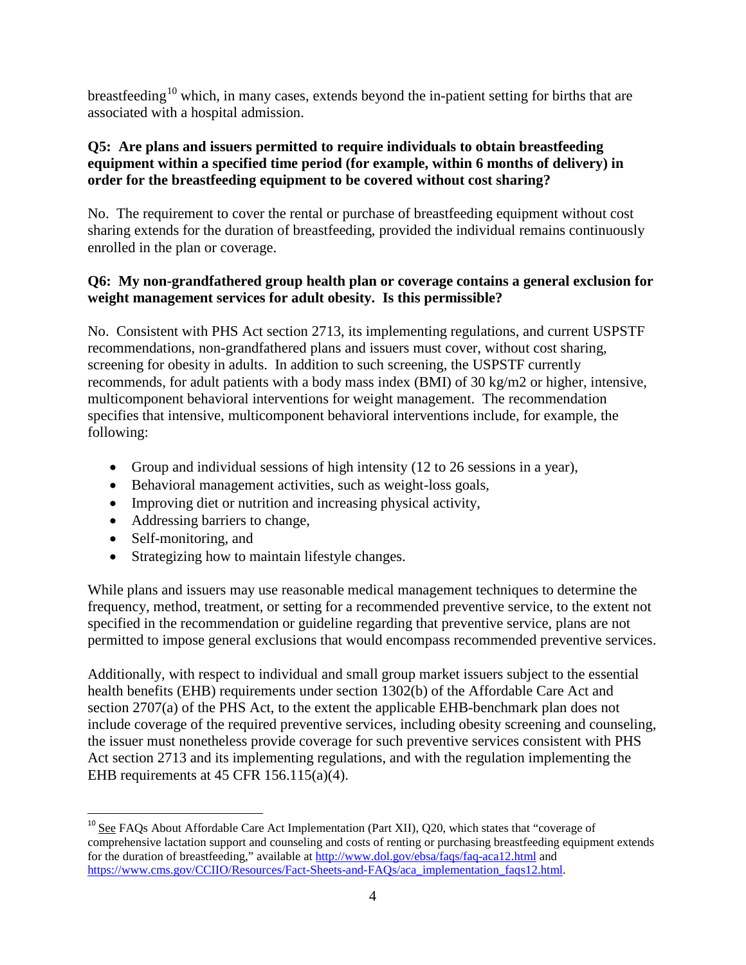breastfeeding<sup>[10](#page-3-0)</sup> which, in many cases, extends beyond the in-patient setting for births that are associated with a hospital admission.

# **Q5: Are plans and issuers permitted to require individuals to obtain breastfeeding equipment within a specified time period (for example, within 6 months of delivery) in order for the breastfeeding equipment to be covered without cost sharing?**

No. The requirement to cover the rental or purchase of breastfeeding equipment without cost sharing extends for the duration of breastfeeding, provided the individual remains continuously enrolled in the plan or coverage.

# **Q6: My non-grandfathered group health plan or coverage contains a general exclusion for weight management services for adult obesity. Is this permissible?**

No. Consistent with PHS Act section 2713, its implementing regulations, and current USPSTF recommendations, non-grandfathered plans and issuers must cover, without cost sharing, screening for obesity in adults. In addition to such screening, the USPSTF currently recommends, for adult patients with a body mass index (BMI) of 30 kg/m2 or higher, intensive, multicomponent behavioral interventions for weight management. The recommendation specifies that intensive, multicomponent behavioral interventions include, for example, the following:

- Group and individual sessions of high intensity (12 to 26 sessions in a year),
- Behavioral management activities, such as weight-loss goals,
- Improving diet or nutrition and increasing physical activity,
- Addressing barriers to change,
- Self-monitoring, and
- Strategizing how to maintain lifestyle changes.

While plans and issuers may use reasonable medical management techniques to determine the frequency, method, treatment, or setting for a recommended preventive service, to the extent not specified in the recommendation or guideline regarding that preventive service, plans are not permitted to impose general exclusions that would encompass recommended preventive services.

Additionally, with respect to individual and small group market issuers subject to the essential health benefits (EHB) requirements under section 1302(b) of the Affordable Care Act and section 2707(a) of the PHS Act, to the extent the applicable EHB-benchmark plan does not include coverage of the required preventive services, including obesity screening and counseling, the issuer must nonetheless provide coverage for such preventive services consistent with PHS Act section 2713 and its implementing regulations, and with the regulation implementing the EHB requirements at 45 CFR 156.115(a)(4).

<span id="page-3-0"></span> $10$  See FAQs About Affordable Care Act Implementation (Part XII), Q20, which states that "coverage of comprehensive lactation support and counseling and costs of renting or purchasing breastfeeding equipment extends for the duration of breastfeeding," available at<http://www.dol.gov/ebsa/faqs/faq-aca12.html> and [https://www.cms.gov/CCIIO/Resources/Fact-Sheets-and-FAQs/aca\\_implementation\\_faqs12.html.](https://www.cms.gov/CCIIO/Resources/Fact-Sheets-and-FAQs/aca_implementation_faqs12.html)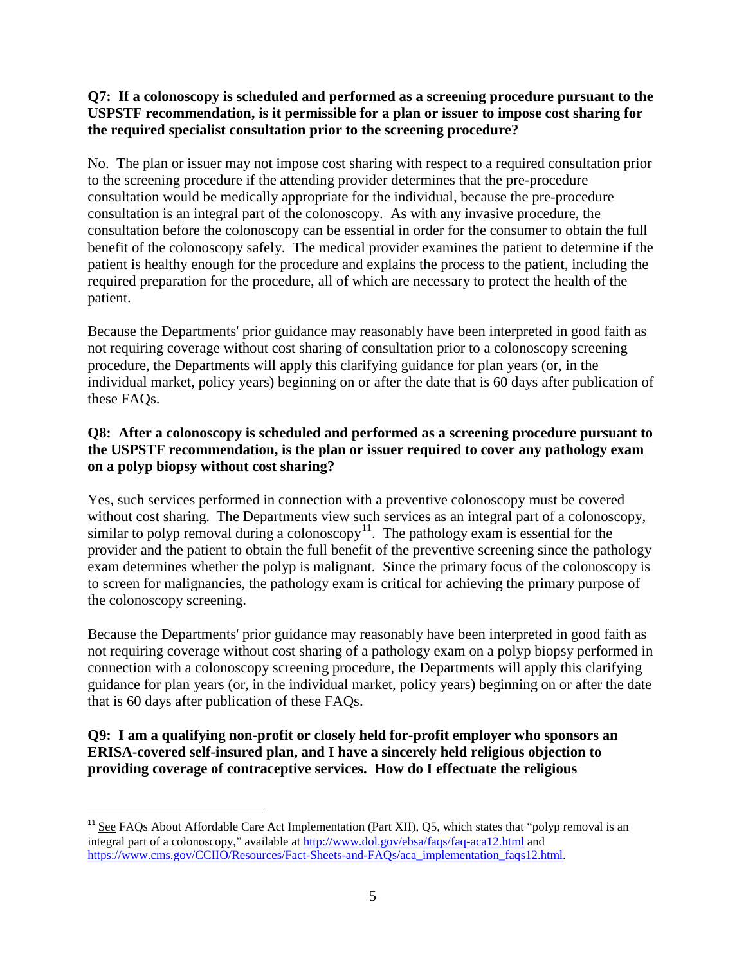# **Q7: If a colonoscopy is scheduled and performed as a screening procedure pursuant to the USPSTF recommendation, is it permissible for a plan or issuer to impose cost sharing for the required specialist consultation prior to the screening procedure?**

No. The plan or issuer may not impose cost sharing with respect to a required consultation prior to the screening procedure if the attending provider determines that the pre-procedure consultation would be medically appropriate for the individual, because the pre-procedure consultation is an integral part of the colonoscopy. As with any invasive procedure, the consultation before the colonoscopy can be essential in order for the consumer to obtain the full benefit of the colonoscopy safely. The medical provider examines the patient to determine if the patient is healthy enough for the procedure and explains the process to the patient, including the required preparation for the procedure, all of which are necessary to protect the health of the patient.

Because the Departments' prior guidance may reasonably have been interpreted in good faith as not requiring coverage without cost sharing of consultation prior to a colonoscopy screening procedure, the Departments will apply this clarifying guidance for plan years (or, in the individual market, policy years) beginning on or after the date that is 60 days after publication of these FAQs.

# **Q8: After a colonoscopy is scheduled and performed as a screening procedure pursuant to the USPSTF recommendation, is the plan or issuer required to cover any pathology exam on a polyp biopsy without cost sharing?**

Yes, such services performed in connection with a preventive colonoscopy must be covered without cost sharing. The Departments view such services as an integral part of a colonoscopy, similar to polyp removal during a colonoscopy<sup>[11](#page-4-0)</sup>. The pathology exam is essential for the provider and the patient to obtain the full benefit of the preventive screening since the pathology exam determines whether the polyp is malignant. Since the primary focus of the colonoscopy is to screen for malignancies, the pathology exam is critical for achieving the primary purpose of the colonoscopy screening.

Because the Departments' prior guidance may reasonably have been interpreted in good faith as not requiring coverage without cost sharing of a pathology exam on a polyp biopsy performed in connection with a colonoscopy screening procedure, the Departments will apply this clarifying guidance for plan years (or, in the individual market, policy years) beginning on or after the date that is 60 days after publication of these FAQs.

# **Q9: I am a qualifying non-profit or closely held for-profit employer who sponsors an ERISA-covered self-insured plan, and I have a sincerely held religious objection to providing coverage of contraceptive services. How do I effectuate the religious**

<span id="page-4-0"></span> $11$  See FAOs About Affordable Care Act Implementation (Part XII), Q5, which states that "polyp removal is an integral part of a colonoscopy," available at<http://www.dol.gov/ebsa/faqs/faq-aca12.html> and [https://www.cms.gov/CCIIO/Resources/Fact-Sheets-and-FAQs/aca\\_implementation\\_faqs12.html.](https://www.cms.gov/CCIIO/Resources/Fact-Sheets-and-FAQs/aca_implementation_faqs12.html)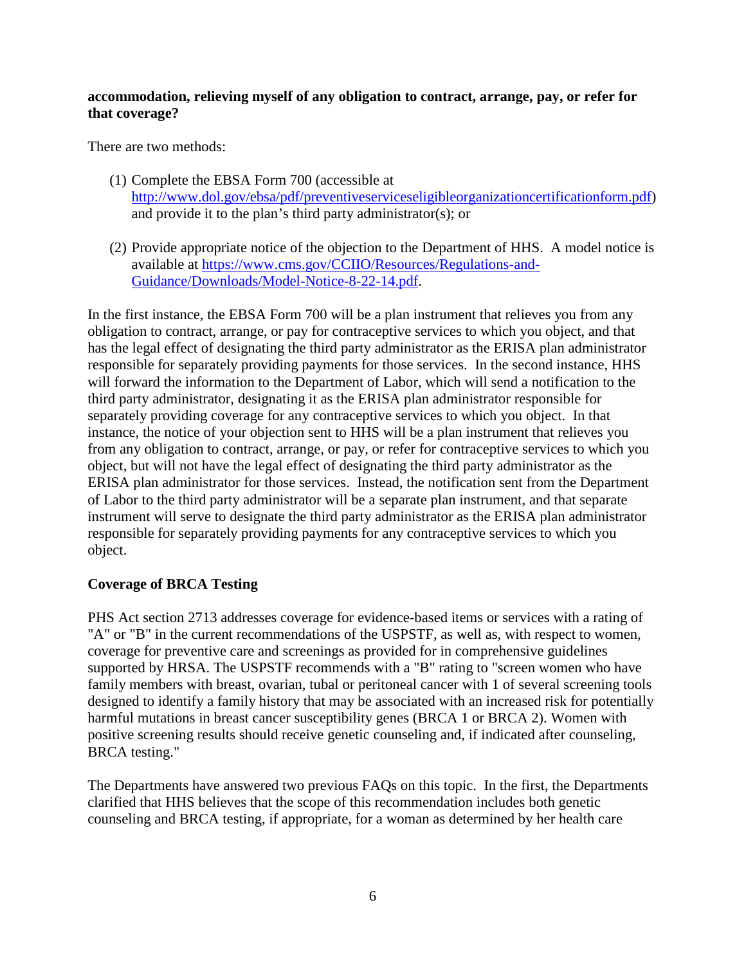## **accommodation, relieving myself of any obligation to contract, arrange, pay, or refer for that coverage?**

There are two methods:

- (1) Complete the EBSA Form 700 (accessible at [http://www.dol.gov/ebsa/pdf/preventiveserviceseligibleorganizationcertificationform.pdf\)](http://www.dol.gov/ebsa/pdf/preventiveserviceseligibleorganizationcertificationform.pdf) and provide it to the plan's third party administrator(s); or
- (2) Provide appropriate notice of the objection to the Department of HHS. A model notice is available at [https://www.cms.gov/CCIIO/Resources/Regulations-and-](https://www.cms.gov/CCIIO/Resources/Regulations-and-Guidance/Downloads/Model-Notice-8-22-14.pdf)[Guidance/Downloads/Model-Notice-8-22-14.pdf.](https://www.cms.gov/CCIIO/Resources/Regulations-and-Guidance/Downloads/Model-Notice-8-22-14.pdf)

In the first instance, the EBSA Form 700 will be a plan instrument that relieves you from any obligation to contract, arrange, or pay for contraceptive services to which you object, and that has the legal effect of designating the third party administrator as the ERISA plan administrator responsible for separately providing payments for those services. In the second instance, HHS will forward the information to the Department of Labor, which will send a notification to the third party administrator, designating it as the ERISA plan administrator responsible for separately providing coverage for any contraceptive services to which you object. In that instance, the notice of your objection sent to HHS will be a plan instrument that relieves you from any obligation to contract, arrange, or pay, or refer for contraceptive services to which you object, but will not have the legal effect of designating the third party administrator as the ERISA plan administrator for those services. Instead, the notification sent from the Department of Labor to the third party administrator will be a separate plan instrument, and that separate instrument will serve to designate the third party administrator as the ERISA plan administrator responsible for separately providing payments for any contraceptive services to which you object.

# **Coverage of BRCA Testing**

PHS Act section 2713 addresses coverage for evidence-based items or services with a rating of "A" or "B" in the current recommendations of the USPSTF, as well as, with respect to women, coverage for preventive care and screenings as provided for in comprehensive guidelines supported by HRSA. The USPSTF recommends with a "B" rating to "screen women who have family members with breast, ovarian, tubal or peritoneal cancer with 1 of several screening tools designed to identify a family history that may be associated with an increased risk for potentially harmful mutations in breast cancer susceptibility genes (BRCA 1 or BRCA 2). Women with positive screening results should receive genetic counseling and, if indicated after counseling, BRCA testing."

The Departments have answered two previous FAQs on this topic. In the first, the Departments clarified that HHS believes that the scope of this recommendation includes both genetic counseling and BRCA testing, if appropriate, for a woman as determined by her health care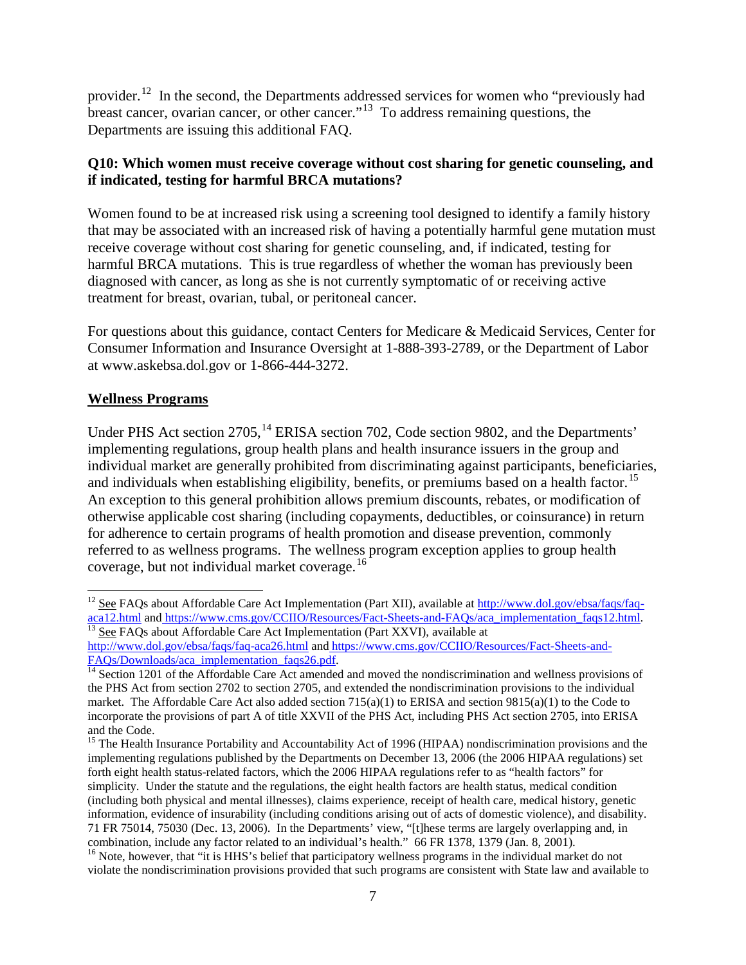provider.<sup>[12](#page-6-0)</sup> In the second, the Departments addressed services for women who "previously had breast cancer, ovarian cancer, or other cancer.<sup>"[13](#page-6-1)</sup> To address remaining questions, the Departments are issuing this additional FAQ.

# **Q10: Which women must receive coverage without cost sharing for genetic counseling, and if indicated, testing for harmful BRCA mutations?**

Women found to be at increased risk using a screening tool designed to identify a family history that may be associated with an increased risk of having a potentially harmful gene mutation must receive coverage without cost sharing for genetic counseling, and, if indicated, testing for harmful BRCA mutations. This is true regardless of whether the woman has previously been diagnosed with cancer, as long as she is not currently symptomatic of or receiving active treatment for breast, ovarian, tubal, or peritoneal cancer.

For questions about this guidance, contact Centers for Medicare & Medicaid Services, Center for Consumer Information and Insurance Oversight at 1-888-393-2789, or the Department of Labor at www.askebsa.dol.gov or 1-866-444-3272.

#### **Wellness Programs**

Under PHS Act section 2705,<sup>[14](#page-6-2)</sup> ERISA section 702, Code section 9802, and the Departments' implementing regulations, group health plans and health insurance issuers in the group and individual market are generally prohibited from discriminating against participants, beneficiaries, and individuals when establishing eligibility, benefits, or premiums based on a health factor.<sup>[15](#page-6-3)</sup> An exception to this general prohibition allows premium discounts, rebates, or modification of otherwise applicable cost sharing (including copayments, deductibles, or coinsurance) in return for adherence to certain programs of health promotion and disease prevention, commonly referred to as wellness programs. The wellness program exception applies to group health coverage, but not individual market coverage.<sup>[16](#page-6-4)</sup>

<span id="page-6-0"></span><sup>&</sup>lt;sup>12</sup> See FAQs about Affordable Care Act Implementation (Part XII), available at [http://www.dol.gov/ebsa/faqs/faq](http://www.dol.gov/ebsa/faqs/faq-aca12.html)[aca12.html](http://www.dol.gov/ebsa/faqs/faq-aca12.html) and [https://www.cms.gov/CCIIO/Resources/Fact-Sheets-and-FAQs/aca\\_implementation\\_faqs12.html.](https://www.cms.gov/CCIIO/Resources/Fact-Sheets-and-FAQs/aca_implementation_faqs12.html)<br><sup>13</sup> See FAQs about Affordable Care Act Implementation (Part XXVI), available at

<span id="page-6-1"></span><http://www.dol.gov/ebsa/faqs/faq-aca26.html> and [https://www.cms.gov/CCIIO/Resources/Fact-Sheets-and-](https://www.cms.gov/CCIIO/Resources/Fact-Sheets-and-FAQs/Downloads/aca_implementation_faqs26.pdf) $FAQs/Downloads/aca\_implementation_fags26.pdf.$ <sup>14</sup> Section 1201 of the Affordable Care Act amended and moved the nondiscrimination and wellness provisions of

<span id="page-6-2"></span>the PHS Act from section 2702 to section 2705, and extended the nondiscrimination provisions to the individual market. The Affordable Care Act also added section  $715(a)(1)$  to ERISA and section  $9815(a)(1)$  to the Code to incorporate the provisions of part A of title XXVII of the PHS Act, including PHS Act section 2705, into ERISA and the Code.

<span id="page-6-3"></span><sup>&</sup>lt;sup>15</sup> The Health Insurance Portability and Accountability Act of 1996 (HIPAA) nondiscrimination provisions and the implementing regulations published by the Departments on December 13, 2006 (the 2006 HIPAA regulations) set forth eight health status-related factors, which the 2006 HIPAA regulations refer to as "health factors" for simplicity. Under the statute and the regulations, the eight health factors are health status, medical condition (including both physical and mental illnesses), claims experience, receipt of health care, medical history, genetic information, evidence of insurability (including conditions arising out of acts of domestic violence), and disability. 71 FR 75014, 75030 (Dec. 13, 2006). In the Departments' view, "[t]hese terms are largely overlapping and, in

<span id="page-6-4"></span><sup>&</sup>lt;sup>16</sup> Note, however, that "it is HHS's belief that participatory wellness programs in the individual market do not violate the nondiscrimination provisions provided that such programs are consistent with State law and available to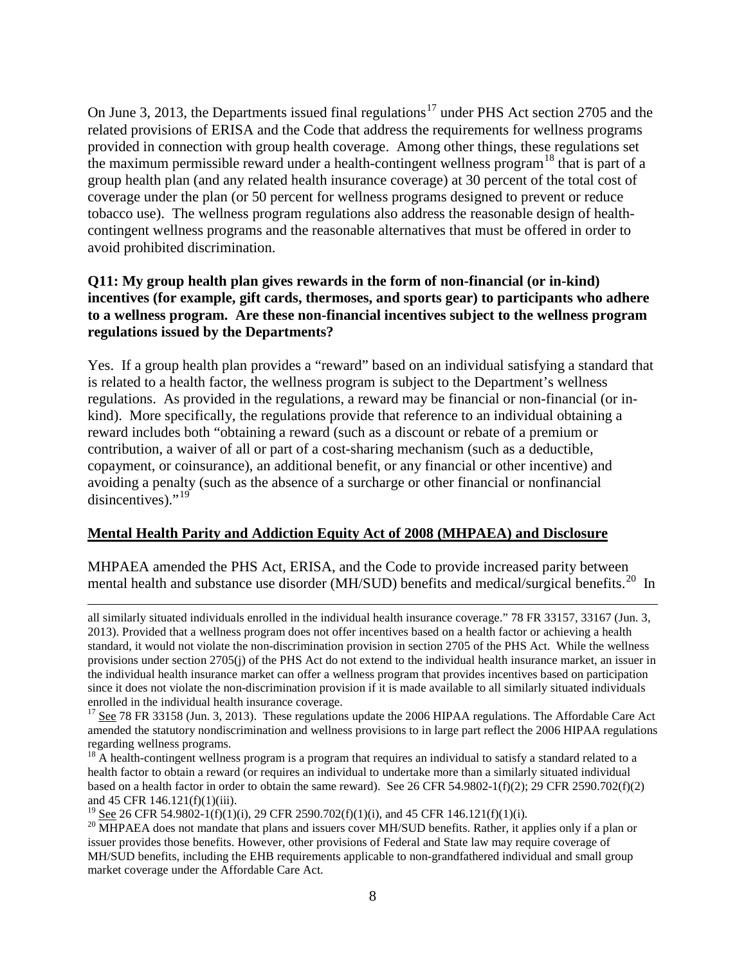On June 3, 2013, the Departments issued final regulations<sup>[17](#page-7-0)</sup> under PHS Act section 2705 and the related provisions of ERISA and the Code that address the requirements for wellness programs provided in connection with group health coverage. Among other things, these regulations set the maximum permissible reward under a health-contingent wellness program<sup>[18](#page-7-1)</sup> that is part of a group health plan (and any related health insurance coverage) at 30 percent of the total cost of coverage under the plan (or 50 percent for wellness programs designed to prevent or reduce tobacco use). The wellness program regulations also address the reasonable design of healthcontingent wellness programs and the reasonable alternatives that must be offered in order to avoid prohibited discrimination.

#### **Q11: My group health plan gives rewards in the form of non-financial (or in-kind) incentives (for example, gift cards, thermoses, and sports gear) to participants who adhere to a wellness program. Are these non-financial incentives subject to the wellness program regulations issued by the Departments?**

Yes. If a group health plan provides a "reward" based on an individual satisfying a standard that is related to a health factor, the wellness program is subject to the Department's wellness regulations. As provided in the regulations, a reward may be financial or non-financial (or inkind). More specifically, the regulations provide that reference to an individual obtaining a reward includes both "obtaining a reward (such as a discount or rebate of a premium or contribution, a waiver of all or part of a cost-sharing mechanism (such as a deductible, copayment, or coinsurance), an additional benefit, or any financial or other incentive) and avoiding a penalty (such as the absence of a surcharge or other financial or nonfinancial disincentives)."<sup>[19](#page-7-2)</sup>

# **Mental Health Parity and Addiction Equity Act of 2008 (MHPAEA) and Disclosure**

MHPAEA amended the PHS Act, ERISA, and the Code to provide increased parity between mental health and substance use disorder (MH/SUD) benefits and medical/surgical benefits.<sup>[20](#page-7-3)</sup> In

all similarly situated individuals enrolled in the individual health insurance coverage." 78 FR 33157, 33167 (Jun. 3, 2013). Provided that a wellness program does not offer incentives based on a health factor or achieving a health standard, it would not violate the non-discrimination provision in section 2705 of the PHS Act. While the wellness provisions under section 2705(j) of the PHS Act do not extend to the individual health insurance market, an issuer in the individual health insurance market can offer a wellness program that provides incentives based on participation since it does not violate the non-discrimination provision if it is made available to all similarly situated individuals

l

<span id="page-7-0"></span><sup>&</sup>lt;sup>17</sup> See 78 FR 33158 (Jun. 3, 2013). These regulations update the 2006 HIPAA regulations. The Affordable Care Act amended the statutory nondiscrimination and wellness provisions to in large part reflect the 2006 HIPAA regulations regarding wellness programs.

<span id="page-7-1"></span> $18$  A health-contingent wellness program is a program that requires an individual to satisfy a standard related to a health factor to obtain a reward (or requires an individual to undertake more than a similarly situated individual based on a health factor in order to obtain the same reward). See 26 CFR 54.9802-1(f)(2); 29 CFR 2590.702(f)(2)

<span id="page-7-3"></span><span id="page-7-2"></span>

and 45 CFR 146.121(f)(1)(iii).<br><sup>19</sup> <u>See</u> 26 CFR 54.9802-1(f)(1)(i), 29 CFR 2590.702(f)(1)(i), and 45 CFR 146.121(f)(1)(i).<br><sup>20</sup> MHPAEA does not mandate that plans and issuers cover MH/SUD benefits. Rather, it applies onl issuer provides those benefits. However, other provisions of Federal and State law may require coverage of MH/SUD benefits, including the EHB requirements applicable to non-grandfathered individual and small group market coverage under the Affordable Care Act.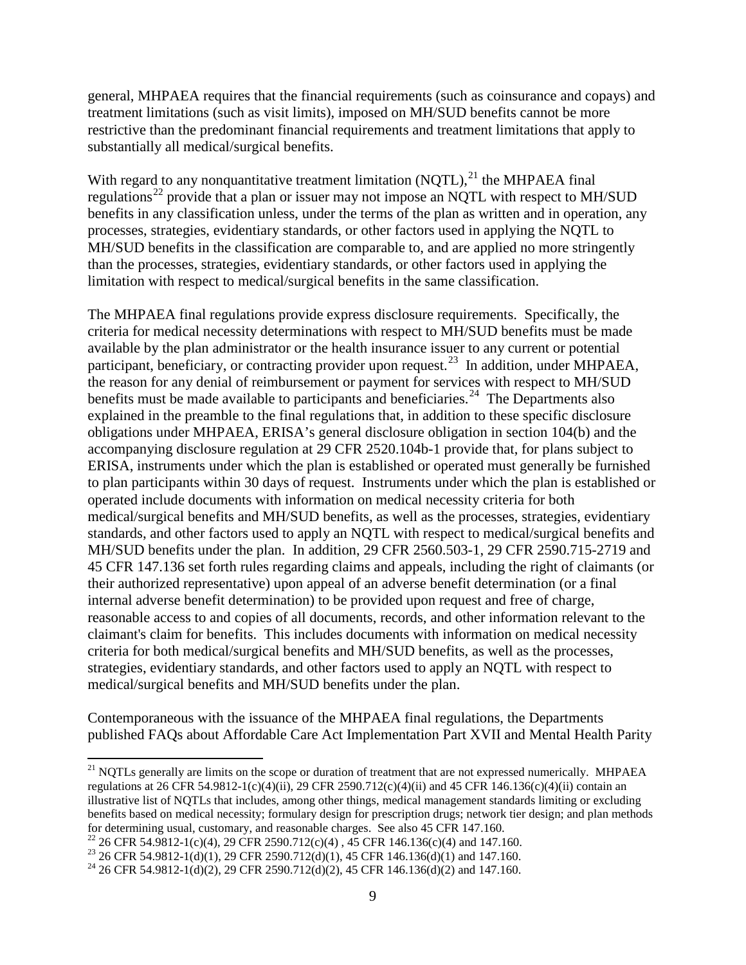general, MHPAEA requires that the financial requirements (such as coinsurance and copays) and treatment limitations (such as visit limits), imposed on MH/SUD benefits cannot be more restrictive than the predominant financial requirements and treatment limitations that apply to substantially all medical/surgical benefits.

With regard to any nonquantitative treatment limitation  $(NQTL)$ ,  $^{21}$  $^{21}$  $^{21}$  the MHPAEA final regulations<sup>[22](#page-8-1)</sup> provide that a plan or issuer may not impose an NQTL with respect to MH/SUD benefits in any classification unless, under the terms of the plan as written and in operation, any processes, strategies, evidentiary standards, or other factors used in applying the NQTL to MH/SUD benefits in the classification are comparable to, and are applied no more stringently than the processes, strategies, evidentiary standards, or other factors used in applying the limitation with respect to medical/surgical benefits in the same classification.

The MHPAEA final regulations provide express disclosure requirements. Specifically, the criteria for medical necessity determinations with respect to MH/SUD benefits must be made available by the plan administrator or the health insurance issuer to any current or potential participant, beneficiary, or contracting provider upon request.<sup>[23](#page-8-2)</sup> In addition, under MHPAEA, the reason for any denial of reimbursement or payment for services with respect to MH/SUD benefits must be made available to participants and beneficiaries.<sup>[24](#page-8-3)</sup> The Departments also explained in the preamble to the final regulations that, in addition to these specific disclosure obligations under MHPAEA, ERISA's general disclosure obligation in section 104(b) and the accompanying disclosure regulation at 29 CFR 2520.104b-1 provide that, for plans subject to ERISA, instruments under which the plan is established or operated must generally be furnished to plan participants within 30 days of request. Instruments under which the plan is established or operated include documents with information on medical necessity criteria for both medical/surgical benefits and MH/SUD benefits, as well as the processes, strategies, evidentiary standards, and other factors used to apply an NQTL with respect to medical/surgical benefits and MH/SUD benefits under the plan. In addition, 29 CFR 2560.503-1, 29 CFR 2590.715-2719 and 45 CFR 147.136 set forth rules regarding claims and appeals, including the right of claimants (or their authorized representative) upon appeal of an adverse benefit determination (or a final internal adverse benefit determination) to be provided upon request and free of charge, reasonable access to and copies of all documents, records, and other information relevant to the claimant's claim for benefits. This includes documents with information on medical necessity criteria for both medical/surgical benefits and MH/SUD benefits, as well as the processes, strategies, evidentiary standards, and other factors used to apply an NQTL with respect to medical/surgical benefits and MH/SUD benefits under the plan.

Contemporaneous with the issuance of the MHPAEA final regulations, the Departments published FAQs about Affordable Care Act Implementation Part XVII and Mental Health Parity

<span id="page-8-0"></span><sup>&</sup>lt;sup>21</sup> NOTLs generally are limits on the scope or duration of treatment that are not expressed numerically. MHPAEA regulations at 26 CFR 54.9812-1(c)(4)(ii), 29 CFR 2590.712(c)(4)(ii) and 45 CFR 146.136(c)(4)(ii) contain an illustrative list of NQTLs that includes, among other things, medical management standards limiting or excluding benefits based on medical necessity; formulary design for prescription drugs; network tier design; and plan methods for determining usual, customary, and reasonable charges. See also 45 CFR 147.160.<br><sup>22</sup> 26 CFR 54.9812-1(c)(4), 29 CFR 2590.712(c)(4), 45 CFR 146.136(c)(4) and 147.160.<br><sup>23</sup> 26 CFR 54.9812-1(d)(1), 29 CFR 2590.712(d)(1),

<span id="page-8-1"></span>

<span id="page-8-2"></span>

<span id="page-8-3"></span>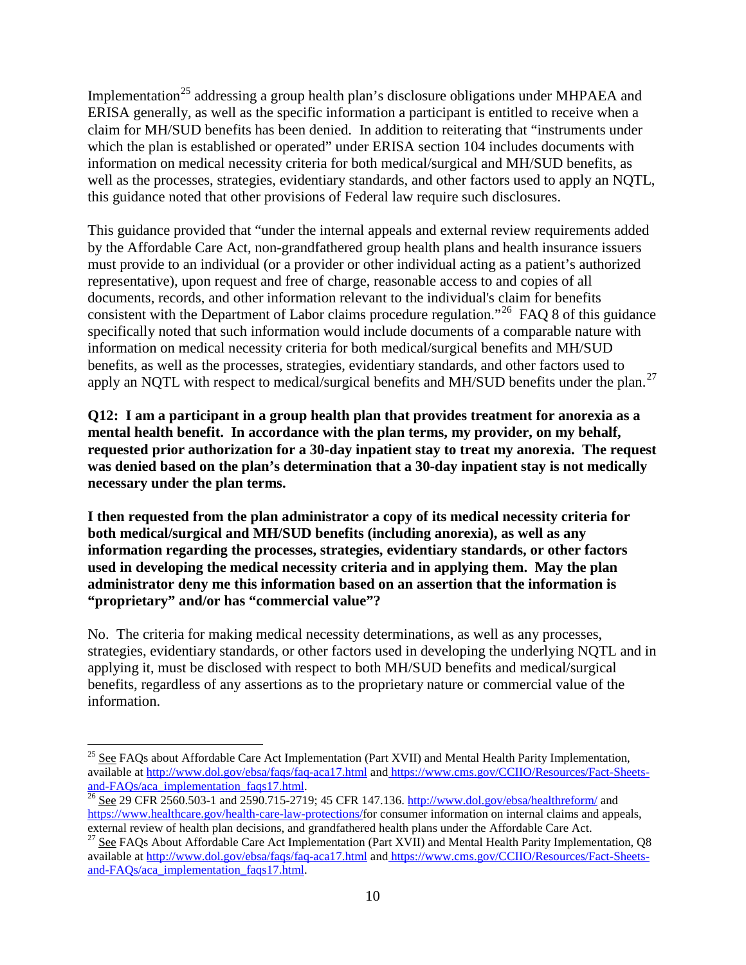Implementation<sup>[25](#page-9-0)</sup> addressing a group health plan's disclosure obligations under MHPAEA and ERISA generally, as well as the specific information a participant is entitled to receive when a claim for MH/SUD benefits has been denied. In addition to reiterating that "instruments under which the plan is established or operated" under ERISA section 104 includes documents with information on medical necessity criteria for both medical/surgical and MH/SUD benefits, as well as the processes, strategies, evidentiary standards, and other factors used to apply an NQTL, this guidance noted that other provisions of Federal law require such disclosures.

This guidance provided that "under the internal appeals and external review requirements added by the Affordable Care Act, non-grandfathered group health plans and health insurance issuers must provide to an individual (or a provider or other individual acting as a patient's authorized representative), upon request and free of charge, reasonable access to and copies of all documents, records, and other information relevant to the individual's claim for benefits consistent with the Department of Labor claims procedure regulation."<sup>[26](#page-9-1)</sup> FAQ 8 of this guidance specifically noted that such information would include documents of a comparable nature with information on medical necessity criteria for both medical/surgical benefits and MH/SUD benefits, as well as the processes, strategies, evidentiary standards, and other factors used to apply an NQTL with respect to medical/surgical benefits and MH/SUD benefits under the plan.<sup>[27](#page-9-2)</sup>

**Q12: I am a participant in a group health plan that provides treatment for anorexia as a mental health benefit. In accordance with the plan terms, my provider, on my behalf, requested prior authorization for a 30-day inpatient stay to treat my anorexia. The request was denied based on the plan's determination that a 30-day inpatient stay is not medically necessary under the plan terms.** 

**I then requested from the plan administrator a copy of its medical necessity criteria for both medical/surgical and MH/SUD benefits (including anorexia), as well as any information regarding the processes, strategies, evidentiary standards, or other factors used in developing the medical necessity criteria and in applying them. May the plan administrator deny me this information based on an assertion that the information is "proprietary" and/or has "commercial value"?**

No. The criteria for making medical necessity determinations, as well as any processes, strategies, evidentiary standards, or other factors used in developing the underlying NQTL and in applying it, must be disclosed with respect to both MH/SUD benefits and medical/surgical benefits, regardless of any assertions as to the proprietary nature or commercial value of the information.

<span id="page-9-0"></span><sup>&</sup>lt;sup>25</sup> See FAQs about Affordable Care Act Implementation (Part XVII) and Mental Health Parity Implementation, available at<http://www.dol.gov/ebsa/faqs/faq-aca17.html> and https://www.cms.gov/CCIIO/Resources/Fact-Sheets-<br>and-FAQs/aca\_implementation\_faqs17.html.<br><sup>26</sup> See 29 CER 2560 503-1 and 2500 715 2710: 45 CEP 147 126 bttp://www

<span id="page-9-1"></span>See 29 CFR 2560.503-1 and 2590.715-2719; 45 CFR 147.136[. http://www.dol.gov/ebsa/healthreform/](http://www.dol.gov/ebsa/healthreform/) and [https://www.healthcare.gov/health-care-law-protections/f](https://www.healthcare.gov/health-care-law-protections/)or consumer information on internal claims and appeals, external review of health plan decisions, and grandfathered health plans under the Affordable Care Act.

<span id="page-9-2"></span><sup>&</sup>lt;sup>27</sup> See FAQs About Affordable Care Act Implementation (Part XVII) and Mental Health Parity Implementation, Q8 available at<http://www.dol.gov/ebsa/faqs/faq-aca17.html> and [https://www.cms.gov/CCIIO/Resources/Fact-Sheets](https://www.cms.gov/CCIIO/Resources/Fact-Sheets-and-FAQs/aca_implementation_faqs17.html)[and-FAQs/aca\\_implementation\\_faqs17.html.](https://www.cms.gov/CCIIO/Resources/Fact-Sheets-and-FAQs/aca_implementation_faqs17.html)